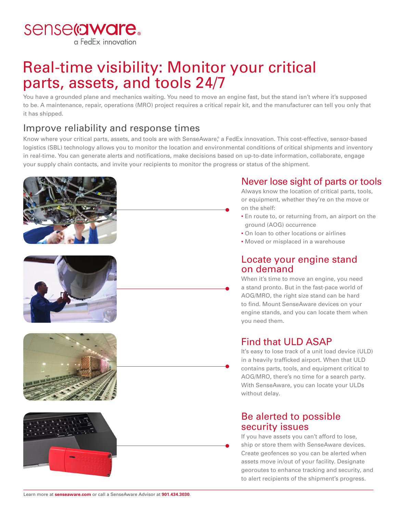sense@ware. a FedEx innovation

# Real-time visibility: Monitor your critical parts, assets, and tools 24/7

You have a grounded plane and mechanics waiting. You need to move an engine fast, but the stand isn't where it's supposed to be. A maintenance, repair, operations (MRO) project requires a critical repair kit, and the manufacturer can tell you only that it has shipped.

# Improve reliability and response times

Know where your critical parts, assets, and tools are with SenseAware,® a FedEx innovation. This cost-effective, sensor-based logistics (SBL) technology allows you to monitor the location and environmental conditions of critical shipments and inventory in real-time. You can generate alerts and notifications, make decisions based on up-to-date information, collaborate, engage your supply chain contacts, and invite your recipients to monitor the progress or status of the shipment.









### Never lose sight of parts or tools

Always know the location of critical parts, tools, or equipment, whether they're on the move or on the shelf:

- En route to, or returning from, an airport on the ground (AOG) occurrence
- On loan to other locations or airlines
- Moved or misplaced in a warehouse

### Locate your engine stand on demand

When it's time to move an engine, you need a stand pronto. But in the fast-pace world of AOG/MRO, the right size stand can be hard to find. Mount SenseAware devices on your engine stands, and you can locate them when you need them.

## Find that ULD ASAP

It's easy to lose track of a unit load device (ULD) in a heavily trafficked airport. When that ULD contains parts, tools, and equipment critical to AOG/MRO, there's no time for a search party. With SenseAware, you can locate your ULDs without delay.

### Be alerted to possible security issues

If you have assets you can't afford to lose, ship or store them with SenseAware devices. Create geofences so you can be alerted when assets move in/out of your facility. Designate georoutes to enhance tracking and security, and to alert recipients of the shipment's progress.